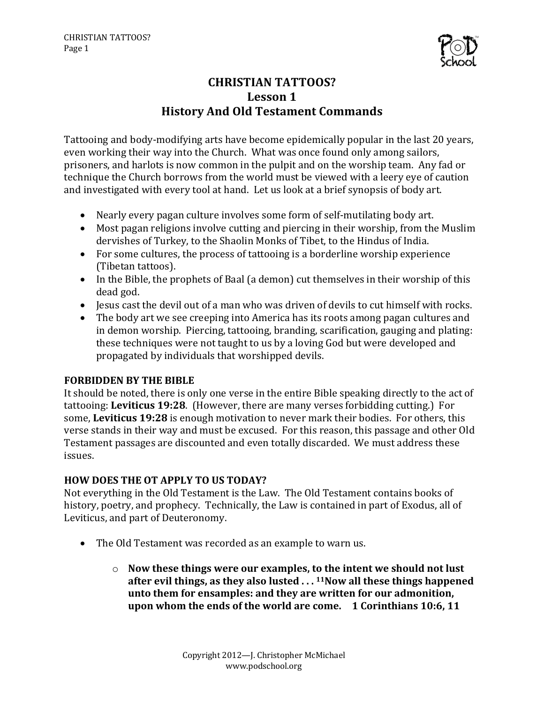

# **CHRISTIAN TATTOOS?** Lesson 1 **History And Old Testament Commands**

Tattooing and body-modifying arts have become epidemically popular in the last 20 years, even working their way into the Church. What was once found only among sailors, prisoners, and harlots is now common in the pulpit and on the worship team. Any fad or technique the Church borrows from the world must be viewed with a leery eye of caution and investigated with every tool at hand. Let us look at a brief synopsis of body art.

- Nearly every pagan culture involves some form of self-mutilating body art.
- Most pagan religions involve cutting and piercing in their worship, from the Muslim dervishes of Turkey, to the Shaolin Monks of Tibet, to the Hindus of India.
- For some cultures, the process of tattooing is a borderline worship experience (Tibetan tattoos).
- In the Bible, the prophets of Baal (a demon) cut themselves in their worship of this dead god.
- Jesus cast the devil out of a man who was driven of devils to cut himself with rocks.
- The body art we see creeping into America has its roots among pagan cultures and in demon worship. Piercing, tattooing, branding, scarification, gauging and plating: these techniques were not taught to us by a loving God but were developed and propagated by individuals that worshipped devils.

#### **FORBIDDEN BY THE BIBLE**

It should be noted, there is only one verse in the entire Bible speaking directly to the act of tattooing: Leviticus 19:28. (However, there are many verses forbidding cutting.) For some, **Leviticus 19:28** is enough motivation to never mark their bodies. For others, this verse stands in their way and must be excused. For this reason, this passage and other Old Testament passages are discounted and even totally discarded. We must address these issues.

#### **HOW DOES THE OT APPLY TO US TODAY?**

Not everything in the Old Testament is the Law. The Old Testament contains books of history, poetry, and prophecy. Technically, the Law is contained in part of Exodus, all of Leviticus, and part of Deuteronomy.

- The Old Testament was recorded as an example to warn us.
	- $\circ$  Now these things were our examples, to the intent we should not lust after evil things, as they also lusted . . . <sup>11</sup>Now all these things happened **unto them for ensamples: and they are written for our admonition, upon whom the ends of the world are come. 1 Corinthians 10:6, 11**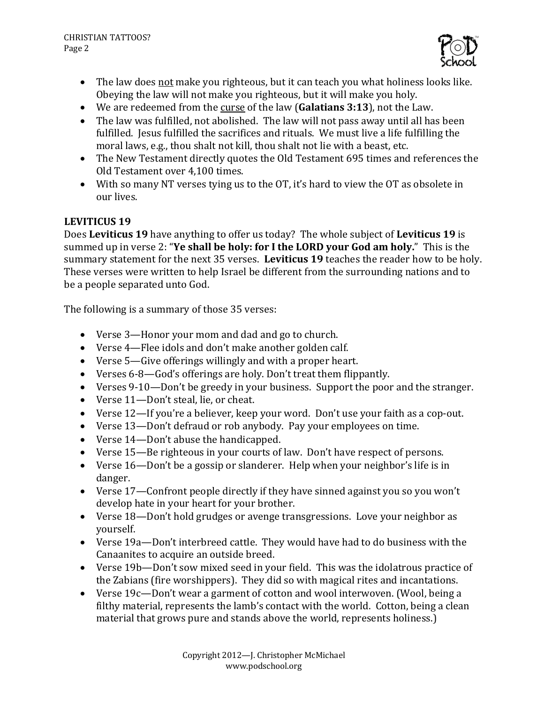

- The law does not make you righteous, but it can teach you what holiness looks like. Obeying the law will not make you righteous, but it will make you holy.
- We are redeemed from the curse of the law (**Galatians 3:13**), not the Law.
- The law was fulfilled, not abolished. The law will not pass away until all has been fulfilled. Jesus fulfilled the sacrifices and rituals. We must live a life fulfilling the moral laws, e.g., thou shalt not kill, thou shalt not lie with a beast, etc.
- The New Testament directly quotes the Old Testament 695 times and references the Old Testament over 4,100 times.
- With so many NT verses tying us to the OT, it's hard to view the OT as obsolete in our lives.

### **LEVITICUS 19**

Does Leviticus 19 have anything to offer us today? The whole subject of Leviticus 19 is summed up in verse 2: "Ye shall be holy: for I the LORD your God am holy." This is the summary statement for the next 35 verses. Leviticus 19 teaches the reader how to be holy. These verses were written to help Israel be different from the surrounding nations and to be a people separated unto God.

The following is a summary of those 35 verses:

- Verse 3—Honor your mom and dad and go to church.
- Verse 4—Flee idols and don't make another golden calf.
- Verse 5—Give offerings willingly and with a proper heart.
- Verses 6-8—God's offerings are holy. Don't treat them flippantly.
- Verses 9-10—Don't be greedy in your business. Support the poor and the stranger.
- Verse 11-Don't steal, lie, or cheat.
- Verse 12—If you're a believer, keep your word. Don't use your faith as a cop-out.
- Verse 13—Don't defraud or rob anybody. Pay your employees on time.
- Verse 14—Don't abuse the handicapped.
- Verse 15—Be righteous in your courts of law. Don't have respect of persons.
- Verse  $16$ —Don't be a gossip or slanderer. Help when your neighbor's life is in danger.
- Verse 17—Confront people directly if they have sinned against you so you won't develop hate in your heart for your brother.
- Verse 18-Don't hold grudges or avenge transgressions. Love your neighbor as yourself.
- Verse 19a—Don't interbreed cattle. They would have had to do business with the Canaanites to acquire an outside breed.
- Verse 19b—Don't sow mixed seed in your field. This was the idolatrous practice of the Zabians (fire worshippers). They did so with magical rites and incantations.
- Verse 19c—Don't wear a garment of cotton and wool interwoven. (Wool, being a filthy material, represents the lamb's contact with the world. Cotton, being a clean material that grows pure and stands above the world, represents holiness.)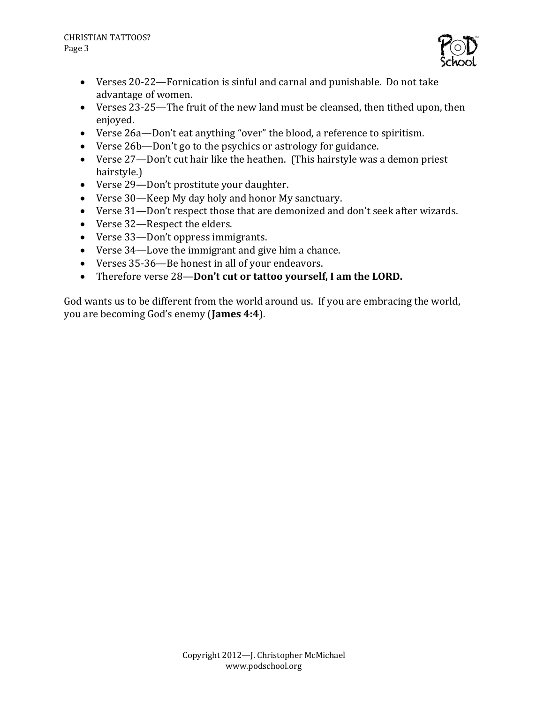

- Verses 20-22—Fornication is sinful and carnal and punishable. Do not take advantage of women.
- Verses 23-25—The fruit of the new land must be cleansed, then tithed upon, then enjoyed.
- Verse 26a—Don't eat anything "over" the blood, a reference to spiritism.
- Verse 26b—Don't go to the psychics or astrology for guidance.
- Verse  $27$ —Don't cut hair like the heathen. (This hairstyle was a demon priest hairstyle.)
- Verse 29-Don't prostitute your daughter.
- Verse 30—Keep My day holy and honor My sanctuary.
- Verse 31—Don't respect those that are demonized and don't seek after wizards.
- Verse 32—Respect the elders.
- Verse 33—Don't oppress immigrants.
- Verse  $34$ —Love the immigrant and give him a chance.
- Verses 35-36—Be honest in all of your endeavors.
- Therefore verse 28-Don't cut or tattoo yourself, I am the LORD.

God wants us to be different from the world around us. If you are embracing the world, you are becoming God's enemy (**James 4:4**).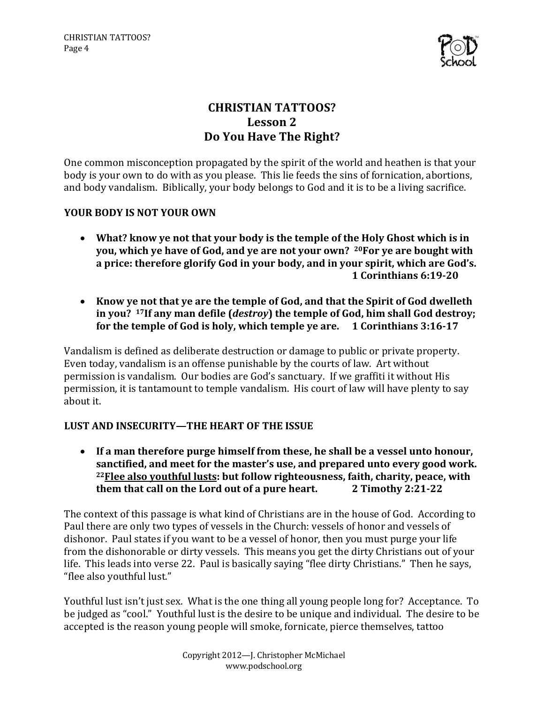

# **CHRISTIAN TATTOOS?** Lesson 2 **Do You Have The Right?**

One common misconception propagated by the spirit of the world and heathen is that your body is your own to do with as you please. This lie feeds the sins of fornication, abortions, and body vandalism. Biblically, your body belongs to God and it is to be a living sacrifice.

### YOUR BODY IS NOT YOUR OWN

- What? know ye not that your body is the temple of the Holy Ghost which is in **you, which ye have of God, and ye are not your own?** <sup>20</sup>For ye are bought with a price: therefore glorify God in your body, and in your spirit, which are God's. **1 Corinthians 6:19-20**
- Know ye not that ye are the temple of God, and that the Spirit of God dwelleth in you? <sup>17</sup>If any man defile (*destroy*) the temple of God, him shall God destroy; **for the temple of God is holy, which temple ye are.** 1 Corinthians 3:16-17

Vandalism is defined as deliberate destruction or damage to public or private property. Even today, vandalism is an offense punishable by the courts of law. Art without permission is vandalism. Our bodies are God's sanctuary. If we graffiti it without His permission, it is tantamount to temple vandalism. His court of law will have plenty to say about it.

## **LUST AND INSECURITY—THE HEART OF THE ISSUE**

• If a man therefore purge himself from these, he shall be a vessel unto honour, sanctified, and meet for the master's use, and prepared unto every good work. <sup>22</sup> Flee also vouthful lusts: but follow righteousness, faith, charity, peace, with **them that call on the Lord out of a pure heart.** 2 Timothy 2:21-22

The context of this passage is what kind of Christians are in the house of God. According to Paul there are only two types of vessels in the Church: vessels of honor and vessels of dishonor. Paul states if you want to be a vessel of honor, then you must purge your life from the dishonorable or dirty vessels. This means you get the dirty Christians out of your life. This leads into verse 22. Paul is basically saying "flee dirty Christians." Then he says, "flee also youthful lust."

Youthful lust isn't just sex. What is the one thing all young people long for? Acceptance. To be judged as "cool." Youthful lust is the desire to be unique and individual. The desire to be accepted is the reason young people will smoke, fornicate, pierce themselves, tattoo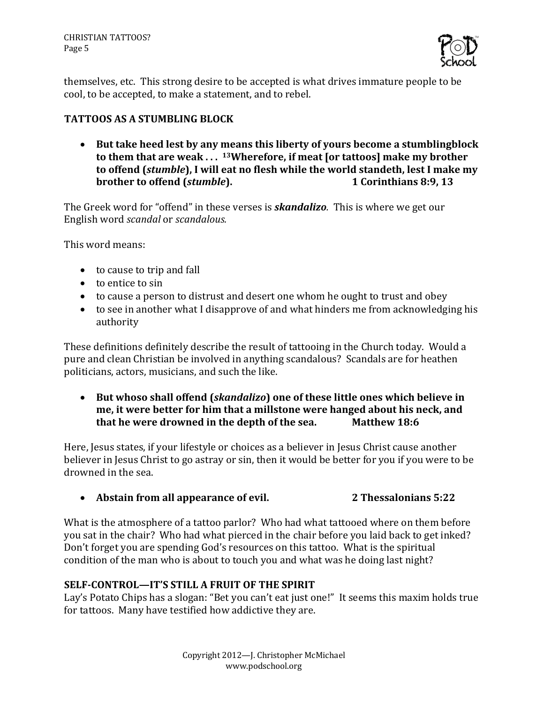CHRISTIAN TATTOOS? Page 5



themselves, etc. This strong desire to be accepted is what drives immature people to be cool, to be accepted, to make a statement, and to rebel.

### **TATTOOS AS A STUMBLING BLOCK**

• But take heed lest by any means this liberty of yours become a stumblingblock to them that are weak ... <sup>13</sup>Wherefore, if meat [or tattoos] make my brother to offend (*stumble*), I will eat no flesh while the world standeth, lest I make my **brother to offend (***stumble***). 1 Corinthians 8:9, 13**

The Greek word for "offend" in these verses is *skandalizo*. This is where we get our English word *scandal* or *scandalous.* 

This word means:

- to cause to trip and fall
- $\bullet$  to entice to sin
- to cause a person to distrust and desert one whom he ought to trust and obey
- to see in another what I disapprove of and what hinders me from acknowledging his authority

These definitions definitely describe the result of tattooing in the Church today. Would a pure and clean Christian be involved in anything scandalous? Scandals are for heathen politicians, actors, musicians, and such the like.

• But whoso shall offend (*skandalizo*) one of these little ones which believe in me, it were better for him that a millstone were hanged about his neck, and **that he were drowned in the depth of the sea.** Matthew 18:6

Here, Jesus states, if your lifestyle or choices as a believer in Jesus Christ cause another believer in Jesus Christ to go astray or sin, then it would be better for you if you were to be drowned in the sea.

## • Abstain from all appearance of evil. 2 Thessalonians 5:22

What is the atmosphere of a tattoo parlor? Who had what tattooed where on them before you sat in the chair? Who had what pierced in the chair before you laid back to get inked? Don't forget you are spending God's resources on this tattoo. What is the spiritual condition of the man who is about to touch you and what was he doing last night?

## **SELF-CONTROL—IT'S STILL A FRUIT OF THE SPIRIT**

Lay's Potato Chips has a slogan: "Bet you can't eat just one!" It seems this maxim holds true for tattoos. Many have testified how addictive they are.